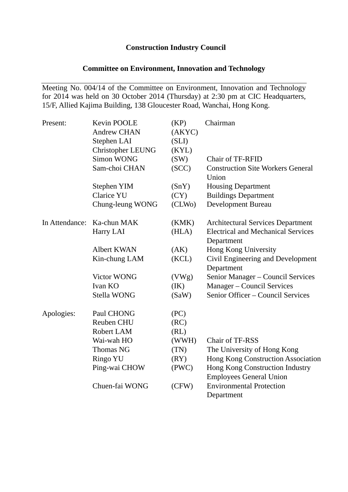## **Construction Industry Council**

# **Committee on Environment, Innovation and Technology**

Meeting No. 004/14 of the Committee on Environment, Innovation and Technology for 2014 was held on 30 October 2014 (Thursday) at 2:30 pm at CIC Headquarters, 15/F, Allied Kajima Building, 138 Gloucester Road, Wanchai, Hong Kong.

| Present:       | Kevin POOLE<br><b>Andrew CHAN</b><br>Stephen LAI | (KP)<br>(AKYC)<br>(SLI) | Chairman                                        |
|----------------|--------------------------------------------------|-------------------------|-------------------------------------------------|
|                | <b>Christopher LEUNG</b><br><b>Simon WONG</b>    | (KYL)<br>(SW)           | <b>Chair of TF-RFID</b>                         |
|                | Sam-choi CHAN                                    | (SCC)                   | <b>Construction Site Workers General</b>        |
|                |                                                  |                         | Union                                           |
|                | Stephen YIM                                      | (SnY)                   | <b>Housing Department</b>                       |
|                | <b>Clarice YU</b>                                | (CY)                    | <b>Buildings Department</b>                     |
|                | Chung-leung WONG                                 | (CLWo)                  | Development Bureau                              |
| In Attendance: | Ka-chun MAK                                      | (KMK)                   | <b>Architectural Services Department</b>        |
|                | Harry LAI                                        | (HLA)                   | <b>Electrical and Mechanical Services</b>       |
|                |                                                  |                         | Department                                      |
|                | Albert KWAN                                      | (AK)                    | Hong Kong University                            |
|                | Kin-chung LAM                                    | (KCL)                   | Civil Engineering and Development<br>Department |
|                | Victor WONG                                      | (VWg)                   | Senior Manager - Council Services               |
|                | Ivan KO                                          | (IK)                    | Manager – Council Services                      |
|                | Stella WONG                                      | (SaW)                   | Senior Officer - Council Services               |
| Apologies:     | Paul CHONG                                       | (PC)                    |                                                 |
|                | Reuben CHU                                       | (RC)                    |                                                 |
|                | Robert LAM                                       | (RL)                    |                                                 |
|                | Wai-wah HO                                       | (WWH)                   | Chair of TF-RSS                                 |
|                | Thomas NG                                        | (TN)                    | The University of Hong Kong                     |
|                | Ringo YU                                         | (RY)                    | Hong Kong Construction Association              |
|                | Ping-wai CHOW                                    | (PWC)                   | Hong Kong Construction Industry                 |
|                |                                                  |                         | <b>Employees General Union</b>                  |
|                | Chuen-fai WONG                                   | (CFW)                   | <b>Environmental Protection</b>                 |
|                |                                                  |                         | Department                                      |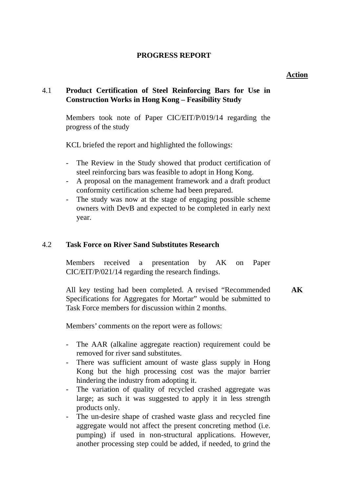# **PROGRESS REPORT**

## **Action**

# 4.1 **Product Certification of Steel Reinforcing Bars for Use in Construction Works in Hong Kong – Feasibility Study**

 Members took note of Paper CIC/EIT/P/019/14 regarding the progress of the study

KCL briefed the report and highlighted the followings:

- The Review in the Study showed that product certification of steel reinforcing bars was feasible to adopt in Hong Kong.
- A proposal on the management framework and a draft product conformity certification scheme had been prepared.
- The study was now at the stage of engaging possible scheme owners with DevB and expected to be completed in early next year.

# 4.2 **Task Force on River Sand Substitutes Research**

 Members received a presentation by AK on Paper CIC/EIT/P/021/14 regarding the research findings.

All key testing had been completed. A revised "Recommended Specifications for Aggregates for Mortar" would be submitted to Task Force members for discussion within 2 months. **AK** 

Members' comments on the report were as follows:

- The AAR (alkaline aggregate reaction) requirement could be removed for river sand substitutes.
- There was sufficient amount of waste glass supply in Hong Kong but the high processing cost was the major barrier hindering the industry from adopting it.
- The variation of quality of recycled crashed aggregate was large; as such it was suggested to apply it in less strength products only.
- The un-desire shape of crashed waste glass and recycled fine aggregate would not affect the present concreting method (i.e. pumping) if used in non-structural applications. However, another processing step could be added, if needed, to grind the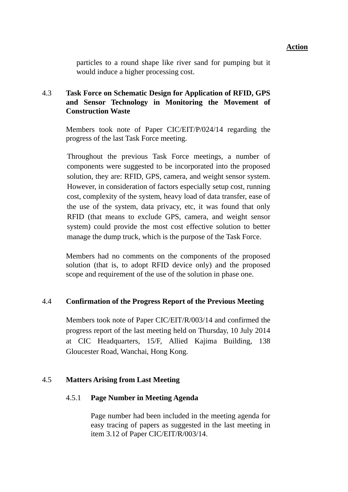particles to a round shape like river sand for pumping but it would induce a higher processing cost.

# 4.3 **Task Force on Schematic Design for Application of RFID, GPS and Sensor Technology in Monitoring the Movement of Construction Waste**

 Members took note of Paper CIC/EIT/P/024/14 regarding the progress of the last Task Force meeting.

Throughout the previous Task Force meetings, a number of components were suggested to be incorporated into the proposed solution, they are: RFID, GPS, camera, and weight sensor system. However, in consideration of factors especially setup cost, running cost, complexity of the system, heavy load of data transfer, ease of the use of the system, data privacy, etc, it was found that only RFID (that means to exclude GPS, camera, and weight sensor system) could provide the most cost effective solution to better manage the dump truck, which is the purpose of the Task Force.

Members had no comments on the components of the proposed solution (that is, to adopt RFID device only) and the proposed scope and requirement of the use of the solution in phase one.

# 4.4 **Confirmation of the Progress Report of the Previous Meeting**

Members took note of Paper CIC/EIT/R/003/14 and confirmed the progress report of the last meeting held on Thursday, 10 July 2014 at CIC Headquarters, 15/F, Allied Kajima Building, 138 Gloucester Road, Wanchai, Hong Kong.

### 4.5 **Matters Arising from Last Meeting**

### 4.5.1 **Page Number in Meeting Agenda**

 Page number had been included in the meeting agenda for easy tracing of papers as suggested in the last meeting in item 3.12 of Paper CIC/EIT/R/003/14.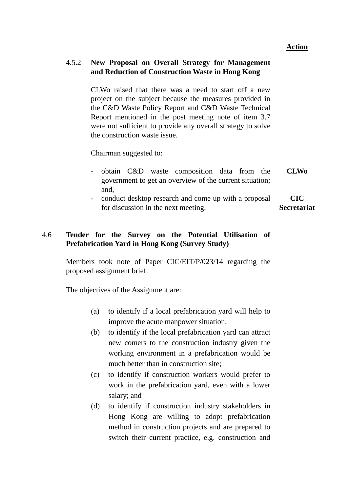## 4.5.2 **New Proposal on Overall Strategy for Management and Reduction of Construction Waste in Hong Kong**

 CLWo raised that there was a need to start off a new project on the subject because the measures provided in the C&D Waste Policy Report and C&D Waste Technical Report mentioned in the post meeting note of item 3.7 were not sufficient to provide any overall strategy to solve the construction waste issue.

Chairman suggested to:

- obtain C&D waste composition data from the government to get an overview of the current situation; and, **CLWo**
- conduct desktop research and come up with a proposal for discussion in the next meeting. **CIC Secretariat**

# 4.6 **Tender for the Survey on the Potential Utilisation of Prefabrication Yard in Hong Kong (Survey Study)**

 Members took note of Paper CIC/EIT/P/023/14 regarding the proposed assignment brief.

The objectives of the Assignment are:

- (a) to identify if a local prefabrication yard will help to improve the acute manpower situation;
- (b) to identify if the local prefabrication yard can attract new comers to the construction industry given the working environment in a prefabrication would be much better than in construction site;
- (c) to identify if construction workers would prefer to work in the prefabrication yard, even with a lower salary; and
- (d) to identify if construction industry stakeholders in Hong Kong are willing to adopt prefabrication method in construction projects and are prepared to switch their current practice, e.g. construction and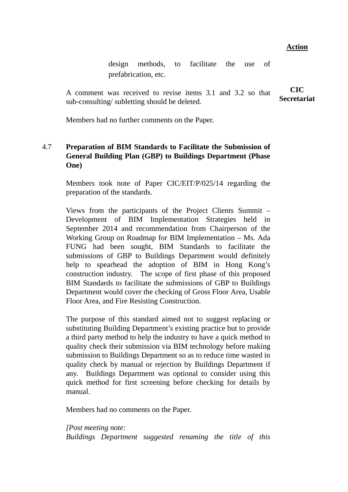design methods, to facilitate the use of prefabrication, etc.

A comment was received to revise items 3.1 and 3.2 so that sub-consulting/ subletting should be deleted. **CIC Secretariat**

Members had no further comments on the Paper.

# 4.7 **Preparation of BIM Standards to Facilitate the Submission of General Building Plan (GBP) to Buildings Department (Phase One)**

 Members took note of Paper CIC/EIT/P/025/14 regarding the preparation of the standards.

Views from the participants of the Project Clients Summit – Development of BIM Implementation Strategies held in September 2014 and recommendation from Chairperson of the Working Group on Roadmap for BIM Implementation – Ms. Ada FUNG had been sought, BIM Standards to facilitate the submissions of GBP to Buildings Department would definitely help to spearhead the adoption of BIM in Hong Kong's construction industry. The scope of first phase of this proposed BIM Standards to facilitate the submissions of GBP to Buildings Department would cover the checking of Gross Floor Area, Usable Floor Area, and Fire Resisting Construction.

The purpose of this standard aimed not to suggest replacing or substituting Building Department's existing practice but to provide a third party method to help the industry to have a quick method to quality check their submission via BIM technology before making submission to Buildings Department so as to reduce time wasted in quality check by manual or rejection by Buildings Department if any. Buildings Department was optional to consider using this quick method for first screening before checking for details by manual.

Members had no comments on the Paper.

*[Post meeting note: Buildings Department suggested renaming the title of this* 

### **Action**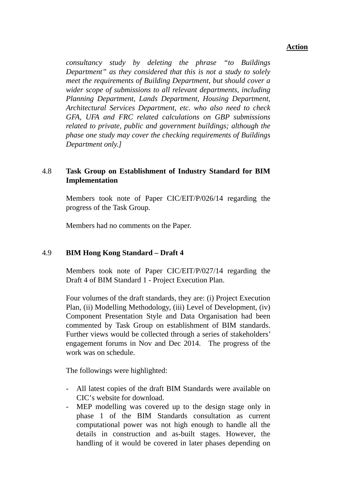*consultancy study by deleting the phrase "to Buildings Department" as they considered that this is not a study to solely meet the requirements of Building Department, but should cover a wider scope of submissions to all relevant departments, including Planning Department, Lands Department, Housing Department, Architectural Services Department, etc. who also need to check GFA, UFA and FRC related calculations on GBP submissions related to private, public and government buildings; although the phase one study may cover the checking requirements of Buildings Department only.]* 

## 4.8 **Task Group on Establishment of Industry Standard for BIM Implementation**

 Members took note of Paper CIC/EIT/P/026/14 regarding the progress of the Task Group.

Members had no comments on the Paper.

### 4.9 **BIM Hong Kong Standard – Draft 4**

 Members took note of Paper CIC/EIT/P/027/14 regarding the Draft 4 of BIM Standard 1 - Project Execution Plan.

Four volumes of the draft standards, they are: (i) Project Execution Plan, (ii) Modelling Methodology, (iii) Level of Development, (iv) Component Presentation Style and Data Organisation had been commented by Task Group on establishment of BIM standards. Further views would be collected through a series of stakeholders' engagement forums in Nov and Dec 2014. The progress of the work was on schedule.

The followings were highlighted:

- All latest copies of the draft BIM Standards were available on CIC's website for download.
- MEP modelling was covered up to the design stage only in phase 1 of the BIM Standards consultation as current computational power was not high enough to handle all the details in construction and as-built stages. However, the handling of it would be covered in later phases depending on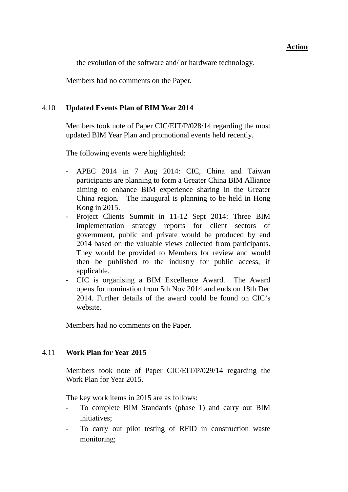the evolution of the software and/ or hardware technology.

Members had no comments on the Paper.

## 4.10 **Updated Events Plan of BIM Year 2014**

 Members took note of Paper CIC/EIT/P/028/14 regarding the most updated BIM Year Plan and promotional events held recently.

The following events were highlighted:

- APEC 2014 in 7 Aug 2014: CIC, China and Taiwan participants are planning to form a Greater China BIM Alliance aiming to enhance BIM experience sharing in the Greater China region. The inaugural is planning to be held in Hong Kong in 2015.
- Project Clients Summit in 11-12 Sept 2014: Three BIM implementation strategy reports for client sectors of government, public and private would be produced by end 2014 based on the valuable views collected from participants. They would be provided to Members for review and would then be published to the industry for public access, if applicable.
- CIC is organising a BIM Excellence Award. The Award opens for nomination from 5th Nov 2014 and ends on 18th Dec 2014. Further details of the award could be found on CIC's website.

Members had no comments on the Paper.

### 4.11 **Work Plan for Year 2015**

 Members took note of Paper CIC/EIT/P/029/14 regarding the Work Plan for Year 2015.

The key work items in 2015 are as follows:

- To complete BIM Standards (phase 1) and carry out BIM initiatives;
- To carry out pilot testing of RFID in construction waste monitoring;